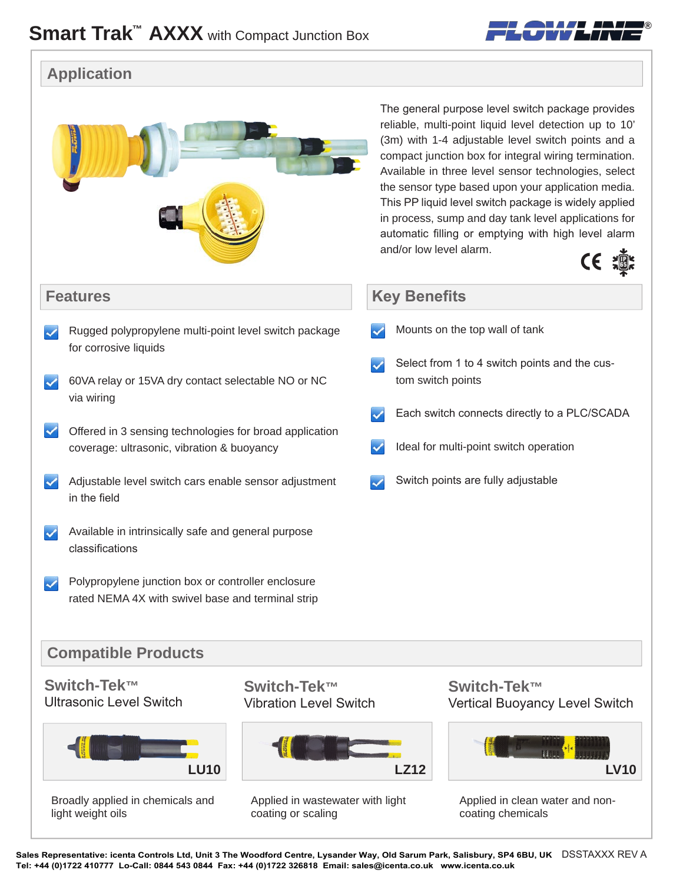

## **Application**



Sales Representative: icenta Controls Ltd, Unit 3 The Woodford Centre, Lysander Way, Old Sarum Park, Salisbury, SP4 6BU, UK DSSTAXXX REV A **Tel: +44 (0)1722 410777 Lo-Call: 0844 543 0844 Fax: +44 (0)1722 326818 Email: sales@icenta.co.uk www.icenta.co.uk**